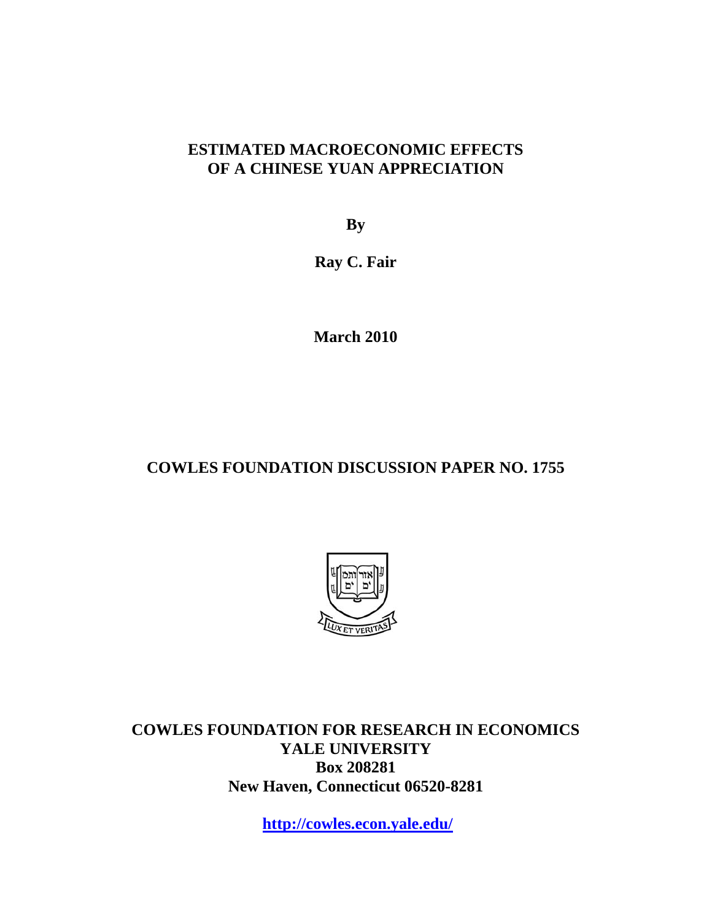## **ESTIMATED MACROECONOMIC EFFECTS OF A CHINESE YUAN APPRECIATION**

**By** 

**Ray C. Fair** 

**March 2010** 

# **COWLES FOUNDATION DISCUSSION PAPER NO. 1755**



**COWLES FOUNDATION FOR RESEARCH IN ECONOMICS YALE UNIVERSITY Box 208281 New Haven, Connecticut 06520-8281** 

**http://cowles.econ.yale.edu/**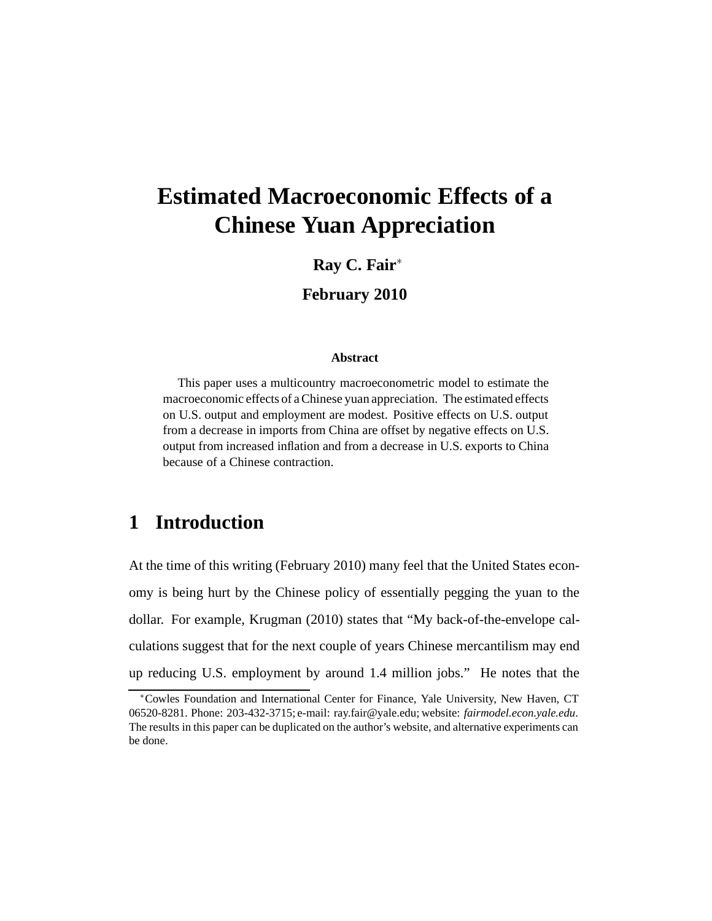# **Estimated Macroeconomic Effects of a Chinese Yuan Appreciation**

### **Ray C. Fair**<sup>∗</sup>

**February 2010**

#### **Abstract**

This paper uses a multicountry macroeconometric model to estimate the macroeconomic effects of a Chinese yuan appreciation. The estimated effects on U.S. output and employment are modest. Positive effects on U.S. output from a decrease in imports from China are offset by negative effects on U.S. output from increased inflation and from a decrease in U.S. exports to China because of a Chinese contraction.

# **1 Introduction**

At the time of this writing (February 2010) many feel that the United States economy is being hurt by the Chinese policy of essentially pegging the yuan to the dollar. For example, Krugman (2010) states that "My back-of-the-envelope calculations suggest that for the next couple of years Chinese mercantilism may end up reducing U.S. employment by around 1.4 million jobs." He notes that the

<sup>∗</sup>Cowles Foundation and International Center for Finance, Yale University, New Haven, CT 06520-8281. Phone: 203-432-3715; e-mail: ray.fair@yale.edu; website: *fairmodel.econ.yale.edu*. The results in this paper can be duplicated on the author's website, and alternative experiments can be done.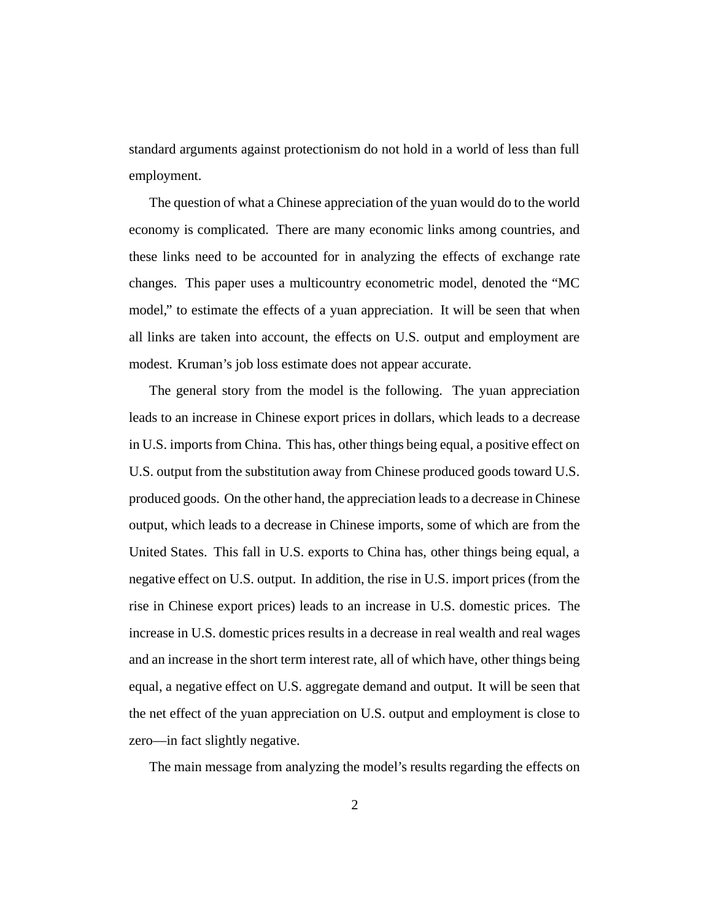standard arguments against protectionism do not hold in a world of less than full employment.

The question of what a Chinese appreciation of the yuan would do to the world economy is complicated. There are many economic links among countries, and these links need to be accounted for in analyzing the effects of exchange rate changes. This paper uses a multicountry econometric model, denoted the "MC model," to estimate the effects of a yuan appreciation. It will be seen that when all links are taken into account, the effects on U.S. output and employment are modest. Kruman's job loss estimate does not appear accurate.

The general story from the model is the following. The yuan appreciation leads to an increase in Chinese export prices in dollars, which leads to a decrease in U.S. imports from China. This has, other things being equal, a positive effect on U.S. output from the substitution away from Chinese produced goods toward U.S. produced goods. On the other hand, the appreciation leads to a decrease in Chinese output, which leads to a decrease in Chinese imports, some of which are from the United States. This fall in U.S. exports to China has, other things being equal, a negative effect on U.S. output. In addition, the rise in U.S. import prices (from the rise in Chinese export prices) leads to an increase in U.S. domestic prices. The increase in U.S. domestic prices results in a decrease in real wealth and real wages and an increase in the short term interest rate, all of which have, other things being equal, a negative effect on U.S. aggregate demand and output. It will be seen that the net effect of the yuan appreciation on U.S. output and employment is close to zero—in fact slightly negative.

The main message from analyzing the model's results regarding the effects on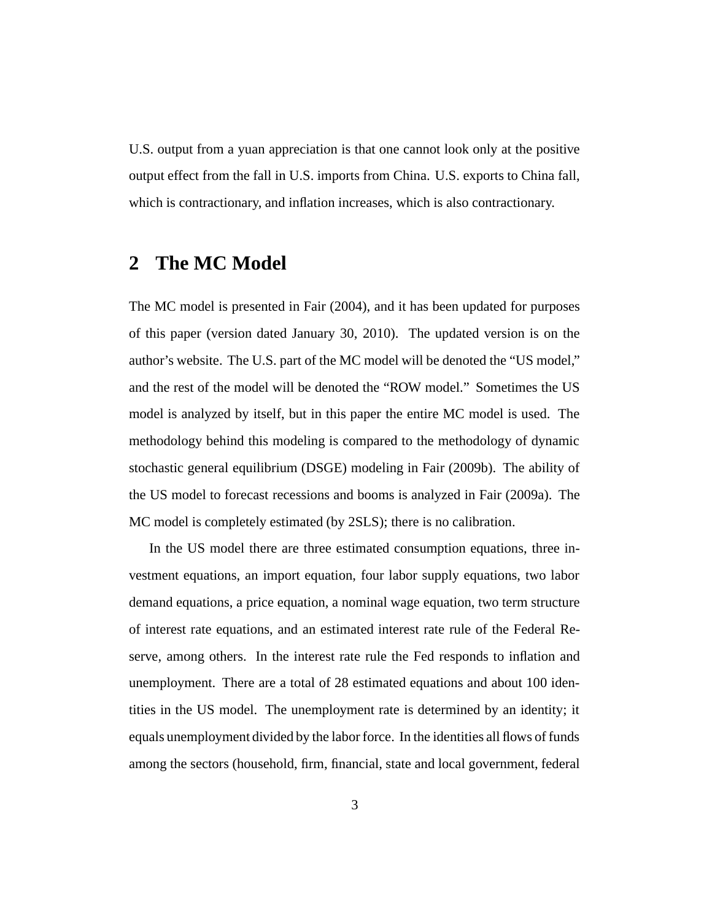U.S. output from a yuan appreciation is that one cannot look only at the positive output effect from the fall in U.S. imports from China. U.S. exports to China fall, which is contractionary, and inflation increases, which is also contractionary.

# **2 The MC Model**

The MC model is presented in Fair (2004), and it has been updated for purposes of this paper (version dated January 30, 2010). The updated version is on the author's website. The U.S. part of the MC model will be denoted the "US model," and the rest of the model will be denoted the "ROW model." Sometimes the US model is analyzed by itself, but in this paper the entire MC model is used. The methodology behind this modeling is compared to the methodology of dynamic stochastic general equilibrium (DSGE) modeling in Fair (2009b). The ability of the US model to forecast recessions and booms is analyzed in Fair (2009a). The MC model is completely estimated (by 2SLS); there is no calibration.

In the US model there are three estimated consumption equations, three investment equations, an import equation, four labor supply equations, two labor demand equations, a price equation, a nominal wage equation, two term structure of interest rate equations, and an estimated interest rate rule of the Federal Reserve, among others. In the interest rate rule the Fed responds to inflation and unemployment. There are a total of 28 estimated equations and about 100 identities in the US model. The unemployment rate is determined by an identity; it equals unemployment divided by the labor force. In the identities all flows of funds among the sectors (household, firm, financial, state and local government, federal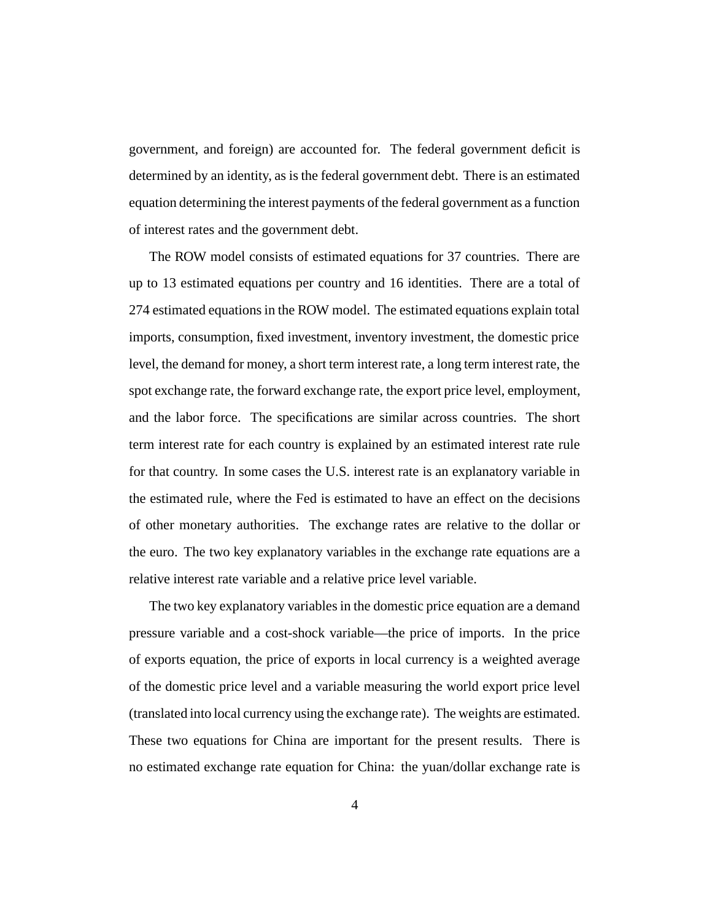government, and foreign) are accounted for. The federal government deficit is determined by an identity, as is the federal government debt. There is an estimated equation determining the interest payments of the federal government as a function of interest rates and the government debt.

The ROW model consists of estimated equations for 37 countries. There are up to 13 estimated equations per country and 16 identities. There are a total of 274 estimated equations in the ROW model. The estimated equations explain total imports, consumption, fixed investment, inventory investment, the domestic price level, the demand for money, a short term interest rate, a long term interest rate, the spot exchange rate, the forward exchange rate, the export price level, employment, and the labor force. The specifications are similar across countries. The short term interest rate for each country is explained by an estimated interest rate rule for that country. In some cases the U.S. interest rate is an explanatory variable in the estimated rule, where the Fed is estimated to have an effect on the decisions of other monetary authorities. The exchange rates are relative to the dollar or the euro. The two key explanatory variables in the exchange rate equations are a relative interest rate variable and a relative price level variable.

The two key explanatory variables in the domestic price equation are a demand pressure variable and a cost-shock variable—the price of imports. In the price of exports equation, the price of exports in local currency is a weighted average of the domestic price level and a variable measuring the world export price level (translated into local currency using the exchange rate). The weights are estimated. These two equations for China are important for the present results. There is no estimated exchange rate equation for China: the yuan/dollar exchange rate is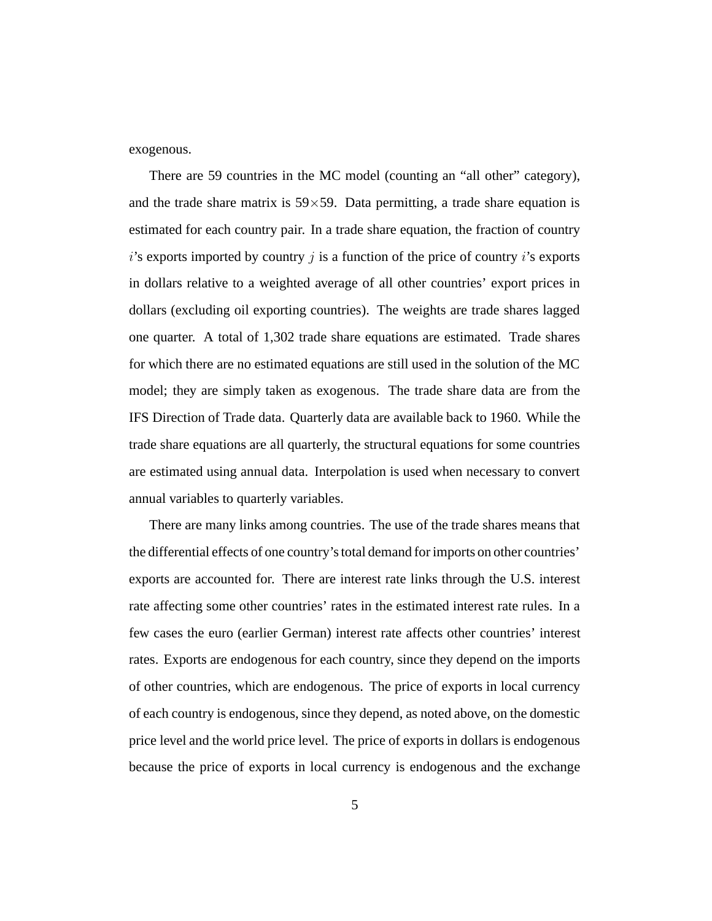exogenous.

There are 59 countries in the MC model (counting an "all other" category), and the trade share matrix is  $59 \times 59$ . Data permitting, a trade share equation is estimated for each country pair. In a trade share equation, the fraction of country *i*'s exports imported by country *j* is a function of the price of country *i*'s exports in dollars relative to a weighted average of all other countries' export prices in dollars (excluding oil exporting countries). The weights are trade shares lagged one quarter. A total of 1,302 trade share equations are estimated. Trade shares for which there are no estimated equations are still used in the solution of the MC model; they are simply taken as exogenous. The trade share data are from the IFS Direction of Trade data. Quarterly data are available back to 1960. While the trade share equations are all quarterly, the structural equations for some countries are estimated using annual data. Interpolation is used when necessary to convert annual variables to quarterly variables.

There are many links among countries. The use of the trade shares means that the differential effects of one country's total demand for imports on other countries' exports are accounted for. There are interest rate links through the U.S. interest rate affecting some other countries' rates in the estimated interest rate rules. In a few cases the euro (earlier German) interest rate affects other countries' interest rates. Exports are endogenous for each country, since they depend on the imports of other countries, which are endogenous. The price of exports in local currency of each country is endogenous, since they depend, as noted above, on the domestic price level and the world price level. The price of exports in dollars is endogenous because the price of exports in local currency is endogenous and the exchange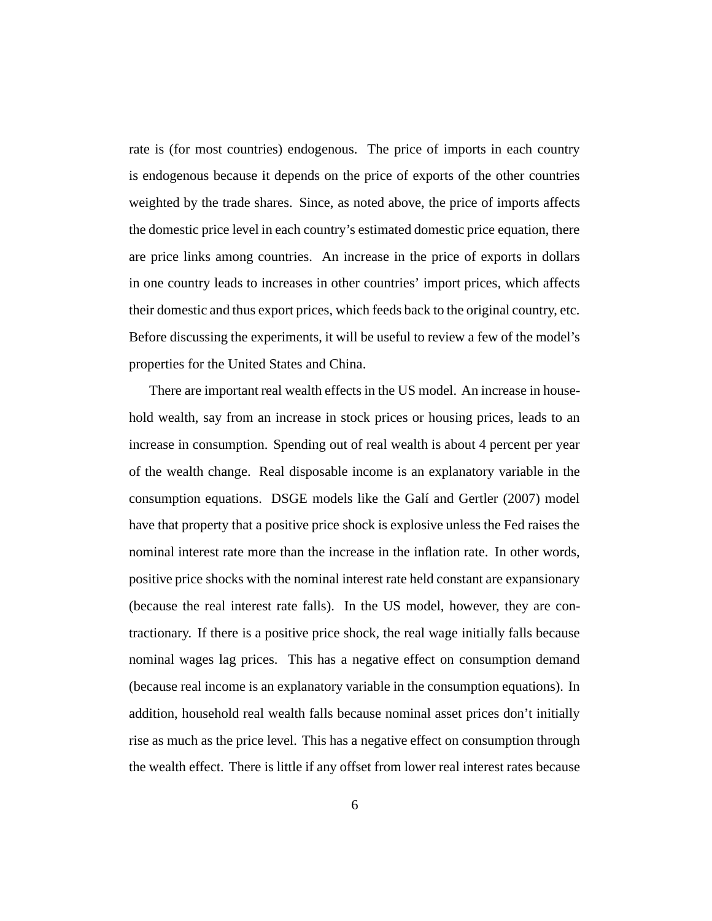rate is (for most countries) endogenous. The price of imports in each country is endogenous because it depends on the price of exports of the other countries weighted by the trade shares. Since, as noted above, the price of imports affects the domestic price level in each country's estimated domestic price equation, there are price links among countries. An increase in the price of exports in dollars in one country leads to increases in other countries' import prices, which affects their domestic and thus export prices, which feeds back to the original country, etc. Before discussing the experiments, it will be useful to review a few of the model's properties for the United States and China.

There are important real wealth effects in the US model. An increase in household wealth, say from an increase in stock prices or housing prices, leads to an increase in consumption. Spending out of real wealth is about 4 percent per year of the wealth change. Real disposable income is an explanatory variable in the consumption equations. DSGE models like the Galí and Gertler (2007) model have that property that a positive price shock is explosive unless the Fed raises the nominal interest rate more than the increase in the inflation rate. In other words, positive price shocks with the nominal interest rate held constant are expansionary (because the real interest rate falls). In the US model, however, they are contractionary. If there is a positive price shock, the real wage initially falls because nominal wages lag prices. This has a negative effect on consumption demand (because real income is an explanatory variable in the consumption equations). In addition, household real wealth falls because nominal asset prices don't initially rise as much as the price level. This has a negative effect on consumption through the wealth effect. There is little if any offset from lower real interest rates because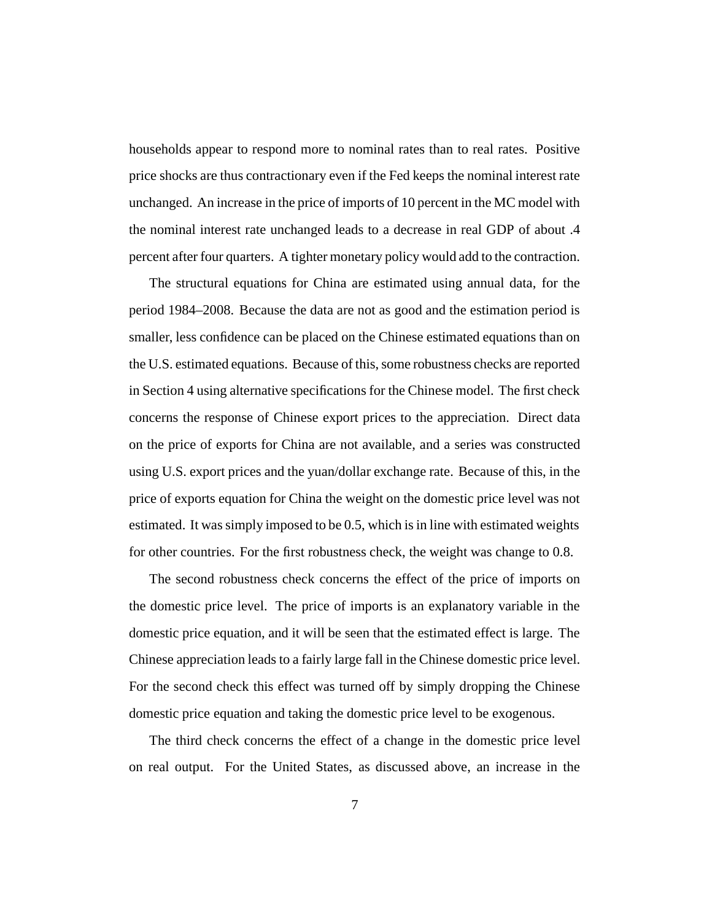households appear to respond more to nominal rates than to real rates. Positive price shocks are thus contractionary even if the Fed keeps the nominal interest rate unchanged. An increase in the price of imports of 10 percent in the MC model with the nominal interest rate unchanged leads to a decrease in real GDP of about .4 percent after four quarters. A tighter monetary policy would add to the contraction.

The structural equations for China are estimated using annual data, for the period 1984–2008. Because the data are not as good and the estimation period is smaller, less confidence can be placed on the Chinese estimated equations than on the U.S. estimated equations. Because of this, some robustness checks are reported in Section 4 using alternative specifications for the Chinese model. The first check concerns the response of Chinese export prices to the appreciation. Direct data on the price of exports for China are not available, and a series was constructed using U.S. export prices and the yuan/dollar exchange rate. Because of this, in the price of exports equation for China the weight on the domestic price level was not estimated. It was simply imposed to be 0.5, which is in line with estimated weights for other countries. For the first robustness check, the weight was change to 0.8.

The second robustness check concerns the effect of the price of imports on the domestic price level. The price of imports is an explanatory variable in the domestic price equation, and it will be seen that the estimated effect is large. The Chinese appreciation leads to a fairly large fall in the Chinese domestic price level. For the second check this effect was turned off by simply dropping the Chinese domestic price equation and taking the domestic price level to be exogenous.

The third check concerns the effect of a change in the domestic price level on real output. For the United States, as discussed above, an increase in the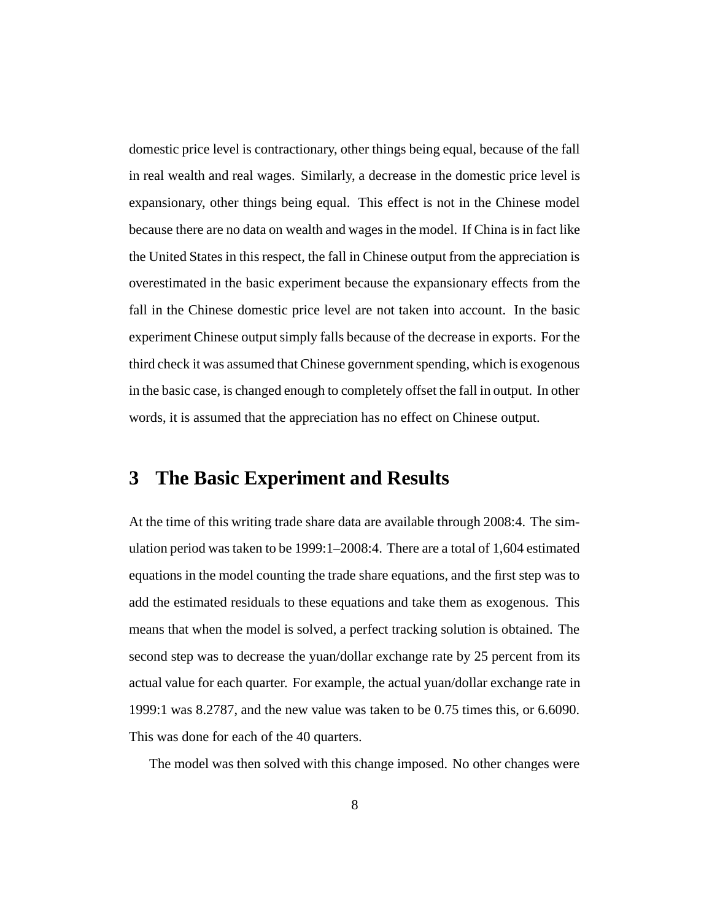domestic price level is contractionary, other things being equal, because of the fall in real wealth and real wages. Similarly, a decrease in the domestic price level is expansionary, other things being equal. This effect is not in the Chinese model because there are no data on wealth and wages in the model. If China is in fact like the United States in this respect, the fall in Chinese output from the appreciation is overestimated in the basic experiment because the expansionary effects from the fall in the Chinese domestic price level are not taken into account. In the basic experiment Chinese output simply falls because of the decrease in exports. For the third check it was assumed that Chinese government spending, which is exogenous in the basic case, is changed enough to completely offset the fall in output. In other words, it is assumed that the appreciation has no effect on Chinese output.

# **3 The Basic Experiment and Results**

At the time of this writing trade share data are available through 2008:4. The simulation period was taken to be 1999:1–2008:4. There are a total of 1,604 estimated equations in the model counting the trade share equations, and the first step was to add the estimated residuals to these equations and take them as exogenous. This means that when the model is solved, a perfect tracking solution is obtained. The second step was to decrease the yuan/dollar exchange rate by 25 percent from its actual value for each quarter. For example, the actual yuan/dollar exchange rate in 1999:1 was 8.2787, and the new value was taken to be 0.75 times this, or 6.6090. This was done for each of the 40 quarters.

The model was then solved with this change imposed. No other changes were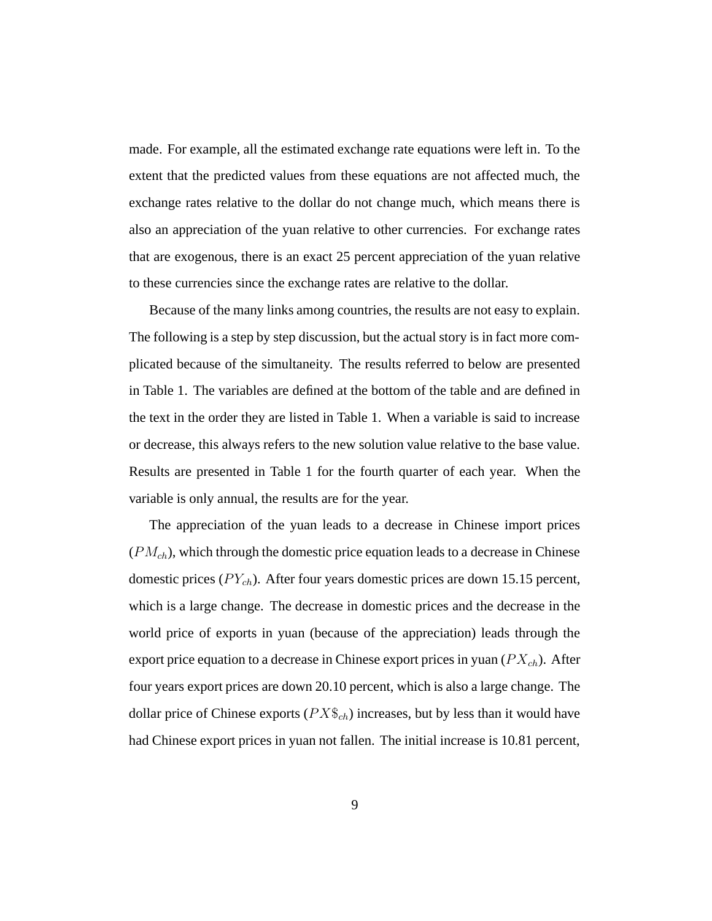made. For example, all the estimated exchange rate equations were left in. To the extent that the predicted values from these equations are not affected much, the exchange rates relative to the dollar do not change much, which means there is also an appreciation of the yuan relative to other currencies. For exchange rates that are exogenous, there is an exact 25 percent appreciation of the yuan relative to these currencies since the exchange rates are relative to the dollar.

Because of the many links among countries, the results are not easy to explain. The following is a step by step discussion, but the actual story is in fact more complicated because of the simultaneity. The results referred to below are presented in Table 1. The variables are defined at the bottom of the table and are defined in the text in the order they are listed in Table 1. When a variable is said to increase or decrease, this always refers to the new solution value relative to the base value. Results are presented in Table 1 for the fourth quarter of each year. When the variable is only annual, the results are for the year.

The appreciation of the yuan leads to a decrease in Chinese import prices (*PMch*), which through the domestic price equation leads to a decrease in Chinese domestic prices (*P Ych*). After four years domestic prices are down 15.15 percent, which is a large change. The decrease in domestic prices and the decrease in the world price of exports in yuan (because of the appreciation) leads through the export price equation to a decrease in Chinese export prices in yuan (*P Xch*). After four years export prices are down 20.10 percent, which is also a large change. The dollar price of Chinese exports (*P X*\$*ch*) increases, but by less than it would have had Chinese export prices in yuan not fallen. The initial increase is 10.81 percent,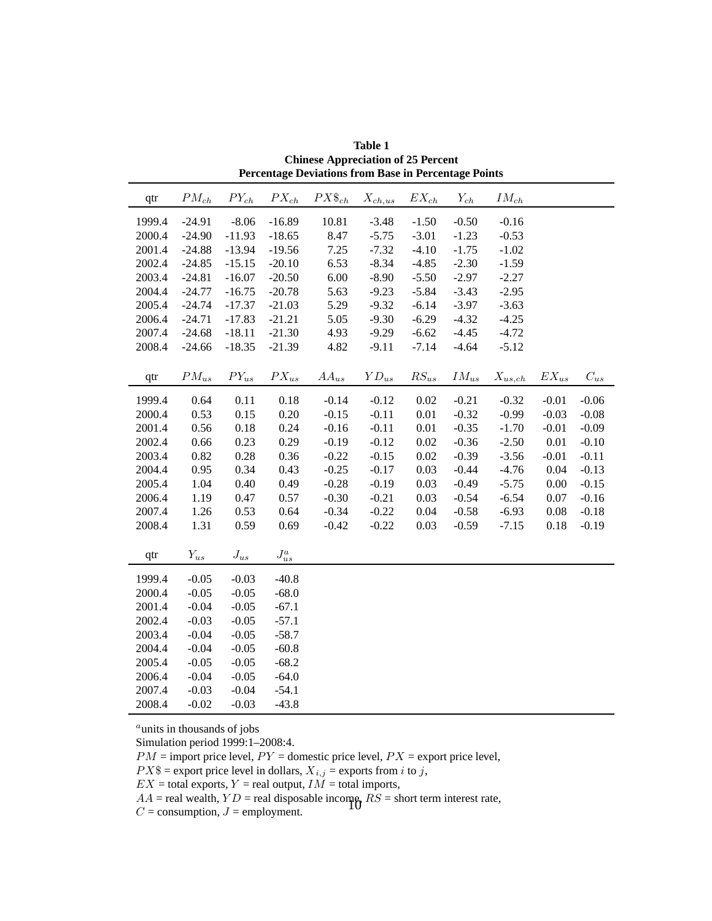| qtr    | ${\cal PM}_{ch}$ | ${\cal P}Y_{ch}$ | $PX_{ch}$         | $PX\$_{ch}$ | $\mathcal{X}_{ch,us}$ | $EX_{ch}$ | $Y_{ch}$  | $\mathcal{IM}_{\mathit{ch}}$ |           |          |
|--------|------------------|------------------|-------------------|-------------|-----------------------|-----------|-----------|------------------------------|-----------|----------|
| 1999.4 | $-24.91$         | $-8.06$          | $-16.89$          | 10.81       | $-3.48$               | $-1.50$   | $-0.50$   | $-0.16$                      |           |          |
| 2000.4 | $-24.90$         | $-11.93$         | $-18.65$          | 8.47        | $-5.75$               | $-3.01$   | $-1.23$   | $-0.53$                      |           |          |
| 2001.4 | $-24.88$         | $-13.94$         | $-19.56$          | 7.25        | $-7.32$               | $-4.10$   | $-1.75$   | $-1.02$                      |           |          |
| 2002.4 | $-24.85$         | $-15.15$         | $-20.10$          | 6.53        | $-8.34$               | $-4.85$   | $-2.30$   | $-1.59$                      |           |          |
| 2003.4 | $-24.81$         | $-16.07$         | $-20.50$          | 6.00        | $-8.90$               | $-5.50$   | $-2.97$   | $-2.27$                      |           |          |
| 2004.4 | $-24.77$         | $-16.75$         | $-20.78$          | 5.63        | $-9.23$               | $-5.84$   | $-3.43$   | $-2.95$                      |           |          |
| 2005.4 | $-24.74$         | $-17.37$         | $-21.03$          | 5.29        | $-9.32$               | $-6.14$   | $-3.97$   | $-3.63$                      |           |          |
| 2006.4 | $-24.71$         | $-17.83$         | $-21.21$          | 5.05        | $-9.30$               | $-6.29$   | $-4.32$   | $-4.25$                      |           |          |
| 2007.4 | $-24.68$         | $-18.11$         | $-21.30$          | 4.93        | $-9.29$               | $-6.62$   | $-4.45$   | $-4.72$                      |           |          |
| 2008.4 | $-24.66$         | $-18.35$         | $-21.39$          | 4.82        | $-9.11$               | $-7.14$   | $-4.64$   | $-5.12$                      |           |          |
|        |                  |                  |                   |             |                       |           |           |                              |           |          |
| qtr    | $PM_{us}$        | $PY_{us}$        | $PX_{us}$         | $AA_{us}$   | ${\cal YD}_{us}$      | $RS_{us}$ | $IM_{us}$ | $\mathcal{X}_{us,ch}$        | $EX_{us}$ | $C_{us}$ |
| 1999.4 | 0.64             | 0.11             | 0.18              | $-0.14$     | $-0.12$               | 0.02      | $-0.21$   | $-0.32$                      | $-0.01$   | $-0.06$  |
| 2000.4 | 0.53             | 0.15             | 0.20              | $-0.15$     | $-0.11$               | 0.01      | $-0.32$   | $-0.99$                      | $-0.03$   | $-0.08$  |
| 2001.4 | 0.56             | 0.18             | 0.24              | $-0.16$     | $-0.11$               | $0.01\,$  | $-0.35$   | $-1.70$                      | $-0.01$   | $-0.09$  |
| 2002.4 | 0.66             | 0.23             | 0.29              | $-0.19$     | $-0.12$               | 0.02      | $-0.36$   | $-2.50$                      | 0.01      | $-0.10$  |
| 2003.4 | 0.82             | 0.28             | 0.36              | $-0.22$     | $-0.15$               | 0.02      | $-0.39$   | $-3.56$                      | $-0.01$   | $-0.11$  |
| 2004.4 | 0.95             | 0.34             | 0.43              | $-0.25$     | $-0.17$               | 0.03      | $-0.44$   | $-4.76$                      | 0.04      | $-0.13$  |
| 2005.4 | 1.04             | 0.40             | 0.49              | $-0.28$     | $-0.19$               | 0.03      | $-0.49$   | $-5.75$                      | 0.00      | $-0.15$  |
| 2006.4 | 1.19             | 0.47             | 0.57              | $-0.30$     | $-0.21$               | 0.03      | $-0.54$   | $-6.54$                      | 0.07      | $-0.16$  |
| 2007.4 | 1.26             | 0.53             | 0.64              | $-0.34$     | $-0.22$               | 0.04      | $-0.58$   | $-6.93$                      | 0.08      | $-0.18$  |
| 2008.4 | 1.31             | 0.59             | 0.69              | $-0.42$     | $-0.22$               | 0.03      | $-0.59$   | $-7.15$                      | 0.18      | $-0.19$  |
| qtr    | $Y_{us}$         | $J_{us}$         | ${\cal J}^a_{us}$ |             |                       |           |           |                              |           |          |
| 1999.4 | $-0.05$          | $-0.03$          | $-40.8$           |             |                       |           |           |                              |           |          |
| 2000.4 | $-0.05$          | $-0.05$          | $-68.0$           |             |                       |           |           |                              |           |          |
| 2001.4 | $-0.04$          | $-0.05$          | $-67.1$           |             |                       |           |           |                              |           |          |
| 2002.4 | $-0.03$          | $-0.05$          | $-57.1$           |             |                       |           |           |                              |           |          |
| 2003.4 | $-0.04$          | $-0.05$          | $-58.7$           |             |                       |           |           |                              |           |          |
| 2004.4 | $-0.04$          | $-0.05$          | $-60.8$           |             |                       |           |           |                              |           |          |
| 2005.4 | $-0.05$          | $-0.05$          | $-68.2$           |             |                       |           |           |                              |           |          |
| 2006.4 | $-0.04$          | $-0.05$          | $-64.0$           |             |                       |           |           |                              |           |          |
| 2007.4 | $-0.03$          | $-0.04$          | $-54.1$           |             |                       |           |           |                              |           |          |
| 2008.4 | $-0.02$          | $-0.03$          | $-43.8$           |             |                       |           |           |                              |           |          |

**Table 1 Chinese Appreciation of 25 Percent Percentage Deviations from Base in Percentage Points**

*<sup>a</sup>*units in thousands of jobs

Simulation period 1999:1–2008:4.

 $PM$  = import price level,  $PY$  = domestic price level,  $PX$  = export price level,

 $PX$ \$ = export price level in dollars,  $X_{i,j}$  = exports from *i* to *j*,

 $EX =$  total exports,  $Y =$  real output,  $I\tilde{M} =$  total imports,

 $AA$  = real wealth,  $YD$  = real disposable income,  $RS$  = short term interest rate,

 $C =$  consumption,  $J =$  employment.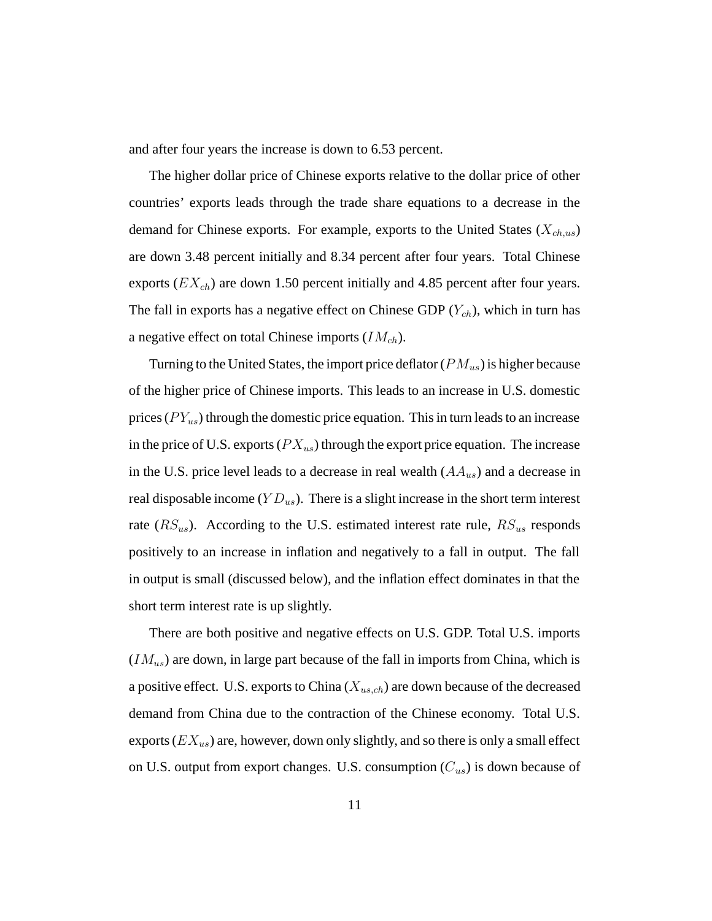and after four years the increase is down to 6.53 percent.

The higher dollar price of Chinese exports relative to the dollar price of other countries' exports leads through the trade share equations to a decrease in the demand for Chinese exports. For example, exports to the United States (*Xch,us*) are down 3.48 percent initially and 8.34 percent after four years. Total Chinese exports (*EXch*) are down 1.50 percent initially and 4.85 percent after four years. The fall in exports has a negative effect on Chinese GDP (*Ych*), which in turn has a negative effect on total Chinese imports (*IMch*).

Turning to the United States, the import price deflator (*PMus*) is higher because of the higher price of Chinese imports. This leads to an increase in U.S. domestic prices (*P Yus*) through the domestic price equation. This in turn leads to an increase in the price of U.S. exports (*P Xus*) through the export price equation. The increase in the U.S. price level leads to a decrease in real wealth (*AAus*) and a decrease in real disposable income (*Y Dus*). There is a slight increase in the short term interest rate (*RSus*). According to the U.S. estimated interest rate rule, *RSus* responds positively to an increase in inflation and negatively to a fall in output. The fall in output is small (discussed below), and the inflation effect dominates in that the short term interest rate is up slightly.

There are both positive and negative effects on U.S. GDP. Total U.S. imports (*IMus*) are down, in large part because of the fall in imports from China, which is a positive effect. U.S. exports to China (*Xus,ch*) are down because of the decreased demand from China due to the contraction of the Chinese economy. Total U.S. exports (*EXus*) are, however, down only slightly, and so there is only a small effect on U.S. output from export changes. U.S. consumption (*Cus*) is down because of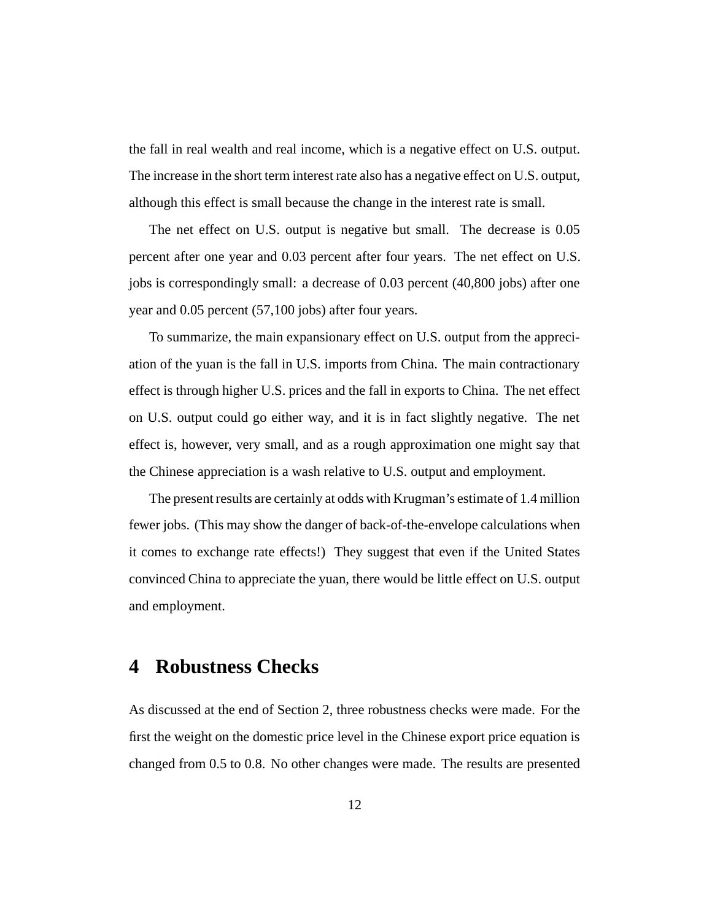the fall in real wealth and real income, which is a negative effect on U.S. output. The increase in the short term interest rate also has a negative effect on U.S. output, although this effect is small because the change in the interest rate is small.

The net effect on U.S. output is negative but small. The decrease is 0.05 percent after one year and 0.03 percent after four years. The net effect on U.S. jobs is correspondingly small: a decrease of 0.03 percent (40,800 jobs) after one year and 0.05 percent (57,100 jobs) after four years.

To summarize, the main expansionary effect on U.S. output from the appreciation of the yuan is the fall in U.S. imports from China. The main contractionary effect is through higher U.S. prices and the fall in exports to China. The net effect on U.S. output could go either way, and it is in fact slightly negative. The net effect is, however, very small, and as a rough approximation one might say that the Chinese appreciation is a wash relative to U.S. output and employment.

The present results are certainly at odds with Krugman's estimate of 1.4 million fewer jobs. (This may show the danger of back-of-the-envelope calculations when it comes to exchange rate effects!) They suggest that even if the United States convinced China to appreciate the yuan, there would be little effect on U.S. output and employment.

# **4 Robustness Checks**

As discussed at the end of Section 2, three robustness checks were made. For the first the weight on the domestic price level in the Chinese export price equation is changed from 0.5 to 0.8. No other changes were made. The results are presented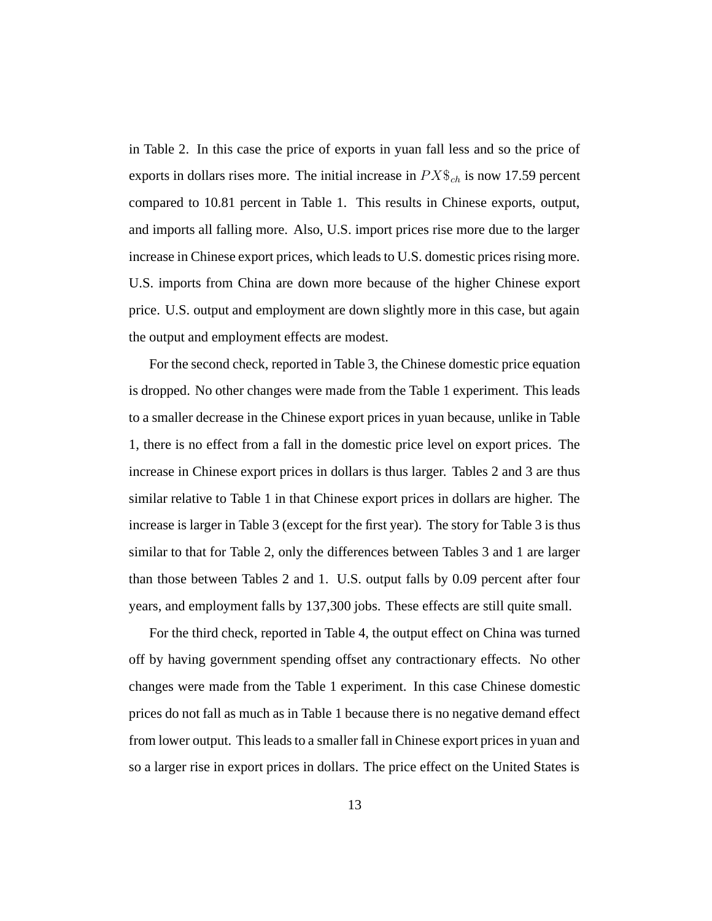in Table 2. In this case the price of exports in yuan fall less and so the price of exports in dollars rises more. The initial increase in *P X*\$*ch* is now 17.59 percent compared to 10.81 percent in Table 1. This results in Chinese exports, output, and imports all falling more. Also, U.S. import prices rise more due to the larger increase in Chinese export prices, which leads to U.S. domestic prices rising more. U.S. imports from China are down more because of the higher Chinese export price. U.S. output and employment are down slightly more in this case, but again the output and employment effects are modest.

For the second check, reported in Table 3, the Chinese domestic price equation is dropped. No other changes were made from the Table 1 experiment. This leads to a smaller decrease in the Chinese export prices in yuan because, unlike in Table 1, there is no effect from a fall in the domestic price level on export prices. The increase in Chinese export prices in dollars is thus larger. Tables 2 and 3 are thus similar relative to Table 1 in that Chinese export prices in dollars are higher. The increase is larger in Table 3 (except for the first year). The story for Table 3 is thus similar to that for Table 2, only the differences between Tables 3 and 1 are larger than those between Tables 2 and 1. U.S. output falls by 0.09 percent after four years, and employment falls by 137,300 jobs. These effects are still quite small.

For the third check, reported in Table 4, the output effect on China was turned off by having government spending offset any contractionary effects. No other changes were made from the Table 1 experiment. In this case Chinese domestic prices do not fall as much as in Table 1 because there is no negative demand effect from lower output. This leads to a smaller fall in Chinese export prices in yuan and so a larger rise in export prices in dollars. The price effect on the United States is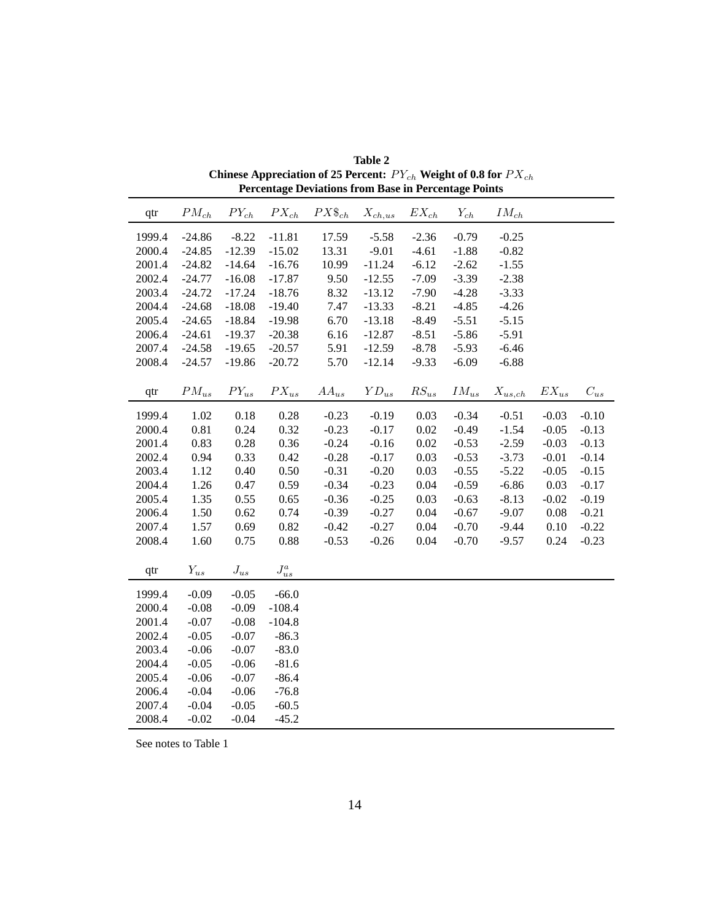| qtr    | $PM_{ch}$ | ${\cal P}Y_{ch}$ | $PX_{ch}$         | $PX\$_{ch}$ | $\mathcal{X}_{ch,us}$ | $EX_{ch}$          | $Y_{ch}$  | $IM_{ch}$             |           |          |
|--------|-----------|------------------|-------------------|-------------|-----------------------|--------------------|-----------|-----------------------|-----------|----------|
| 1999.4 | $-24.86$  | $-8.22$          | $-11.81$          | 17.59       | $-5.58$               | $-2.36$            | $-0.79$   | $-0.25$               |           |          |
| 2000.4 | $-24.85$  | $-12.39$         | $-15.02$          | 13.31       | $-9.01$               | $-4.61$            | $-1.88$   | $-0.82$               |           |          |
| 2001.4 | $-24.82$  | $-14.64$         | $-16.76$          | 10.99       | $-11.24$              | $-6.12$            | $-2.62$   | $-1.55$               |           |          |
| 2002.4 | $-24.77$  | $-16.08$         | $-17.87$          | 9.50        | $-12.55$              | $-7.09$            | $-3.39$   | $-2.38$               |           |          |
| 2003.4 | $-24.72$  | $-17.24$         | $-18.76$          | 8.32        | $-13.12$              | $-7.90$            | $-4.28$   | $-3.33$               |           |          |
| 2004.4 | $-24.68$  | $-18.08$         | $-19.40$          | 7.47        | $-13.33$              | $-8.21$            | $-4.85$   | $-4.26$               |           |          |
| 2005.4 | $-24.65$  | $-18.84$         | $-19.98$          | 6.70        | $-13.18$              | $-8.49$            | $-5.51$   | $-5.15$               |           |          |
| 2006.4 | $-24.61$  | $-19.37$         | $-20.38$          | 6.16        | $-12.87$              | $-8.51$            | $-5.86$   | $-5.91$               |           |          |
| 2007.4 | $-24.58$  | $-19.65$         | $-20.57$          | 5.91        | $-12.59$              | $-8.78$            | $-5.93$   | $-6.46$               |           |          |
| 2008.4 | $-24.57$  | $-19.86$         | $-20.72$          | 5.70        | $-12.14$              | $-9.33$            | $-6.09$   | $-6.88$               |           |          |
|        |           |                  |                   |             |                       |                    |           |                       |           |          |
| qtr    | $PM_{us}$ | $PY_{us}$        | ${\cal P} X_{us}$ | $AA_{us}$   | ${\cal YD}_{us}$      | $\mathit{RS}_{us}$ | $IM_{us}$ | $\mathcal{X}_{us,ch}$ | $EX_{us}$ | $C_{us}$ |
| 1999.4 | 1.02      | 0.18             | 0.28              | $-0.23$     | $-0.19$               | 0.03               | $-0.34$   | $-0.51$               | $-0.03$   | $-0.10$  |
| 2000.4 | 0.81      | 0.24             | 0.32              | $-0.23$     | $-0.17$               | 0.02               | $-0.49$   | $-1.54$               | $-0.05$   | $-0.13$  |
| 2001.4 | 0.83      | 0.28             | 0.36              | $-0.24$     | $-0.16$               | 0.02               | $-0.53$   | $-2.59$               | $-0.03$   | $-0.13$  |
| 2002.4 | 0.94      | 0.33             | 0.42              | $-0.28$     | $-0.17$               | 0.03               | $-0.53$   | $-3.73$               | $-0.01$   | $-0.14$  |
| 2003.4 | 1.12      | 0.40             | 0.50              | $-0.31$     | $-0.20$               | 0.03               | $-0.55$   | $-5.22$               | $-0.05$   | $-0.15$  |
| 2004.4 | 1.26      | 0.47             | 0.59              | $-0.34$     | $-0.23$               | 0.04               | $-0.59$   | $-6.86$               | 0.03      | $-0.17$  |
| 2005.4 | 1.35      | 0.55             | 0.65              | $-0.36$     | $-0.25$               | 0.03               | $-0.63$   | $-8.13$               | $-0.02$   | $-0.19$  |
| 2006.4 | 1.50      | 0.62             | 0.74              | $-0.39$     | $-0.27$               | 0.04               | $-0.67$   | $-9.07$               | 0.08      | $-0.21$  |
| 2007.4 | 1.57      | 0.69             | 0.82              | $-0.42$     | $-0.27$               | 0.04               | $-0.70$   | $-9.44$               | 0.10      | $-0.22$  |
| 2008.4 | 1.60      | 0.75             | 0.88              | $-0.53$     | $-0.26$               | 0.04               | $-0.70$   | $-9.57$               | 0.24      | $-0.23$  |
|        |           |                  |                   |             |                       |                    |           |                       |           |          |
| qtr    | $Y_{us}$  | ${\cal J}_{us}$  | ${\cal J}^a_{us}$ |             |                       |                    |           |                       |           |          |
| 1999.4 | $-0.09$   | $-0.05$          | $-66.0$           |             |                       |                    |           |                       |           |          |
| 2000.4 | $-0.08$   | $-0.09$          | $-108.4$          |             |                       |                    |           |                       |           |          |
| 2001.4 | $-0.07$   | $-0.08$          | $-104.8$          |             |                       |                    |           |                       |           |          |
| 2002.4 | $-0.05$   | $-0.07$          | $-86.3$           |             |                       |                    |           |                       |           |          |
| 2003.4 | $-0.06$   | $-0.07$          | $-83.0$           |             |                       |                    |           |                       |           |          |
| 2004.4 | $-0.05$   | $-0.06$          | $-81.6$           |             |                       |                    |           |                       |           |          |
| 2005.4 | $-0.06$   | $-0.07$          | $-86.4$           |             |                       |                    |           |                       |           |          |
| 2006.4 | $-0.04$   | $-0.06$          | $-76.8$           |             |                       |                    |           |                       |           |          |
| 2007.4 | $-0.04$   | $-0.05$          | $-60.5$           |             |                       |                    |           |                       |           |          |
| 2008.4 | $-0.02$   | $-0.04$          | $-45.2$           |             |                       |                    |           |                       |           |          |

**Table 2 Chinese Appreciation of 25 Percent:** *P Ych* **Weight of 0.8 for** *P Xch* **Percentage Deviations from Base in Percentage Points**

See notes to Table 1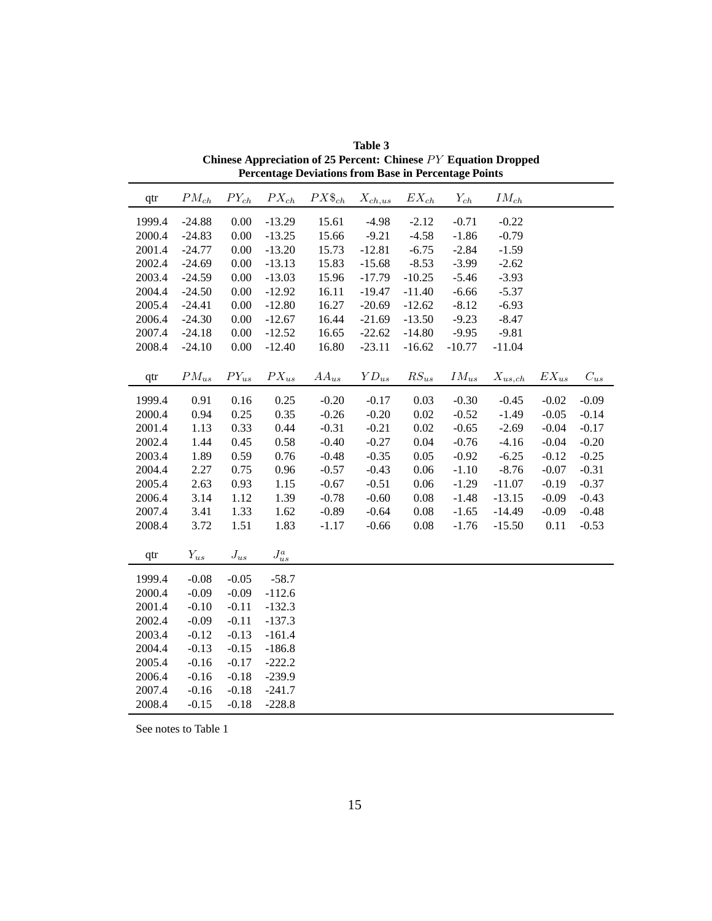| qtr    | $PM_{ch}$ | ${\cal P}Y_{ch}$ | $PX_{ch}$         | $PX\$_{ch}$ | $X_{ch,us}$                         | $EX_{\mathit{ch}}$ | $Y_{ch}$  | $IM_{ch}$             |           |          |
|--------|-----------|------------------|-------------------|-------------|-------------------------------------|--------------------|-----------|-----------------------|-----------|----------|
| 1999.4 | $-24.88$  | 0.00             | $-13.29$          | 15.61       | $-4.98$                             | $-2.12$            | $-0.71$   | $-0.22$               |           |          |
| 2000.4 | $-24.83$  | 0.00             | $-13.25$          | 15.66       | $-9.21$                             | $-4.58$            | $-1.86$   | $-0.79$               |           |          |
| 2001.4 | $-24.77$  | 0.00             | $-13.20$          | 15.73       | $-12.81$                            | $-6.75$            | $-2.84$   | $-1.59$               |           |          |
| 2002.4 | $-24.69$  | 0.00             | $-13.13$          | 15.83       | $-15.68$                            | $-8.53$            | $-3.99$   | $-2.62$               |           |          |
| 2003.4 | $-24.59$  | 0.00             | $-13.03$          | 15.96       | $-17.79$                            | $-10.25$           | $-5.46$   | $-3.93$               |           |          |
| 2004.4 | $-24.50$  | 0.00             | $-12.92$          | 16.11       | $-19.47$                            | $-11.40$           | $-6.66$   | $-5.37$               |           |          |
| 2005.4 | $-24.41$  | 0.00             | $-12.80$          | 16.27       | $-20.69$                            | $-12.62$           | $-8.12$   | $-6.93$               |           |          |
| 2006.4 | $-24.30$  | 0.00             | $-12.67$          | 16.44       | $-21.69$                            | $-13.50$           | $-9.23$   | $-8.47$               |           |          |
| 2007.4 | $-24.18$  | 0.00             | $-12.52$          | 16.65       | $-22.62$                            | $-14.80$           | $-9.95$   | $-9.81$               |           |          |
| 2008.4 | $-24.10$  | 0.00             | $-12.40$          | 16.80       | $-23.11$                            | $-16.62$           | $-10.77$  | $-11.04$              |           |          |
|        |           |                  |                   |             |                                     |                    |           |                       |           |          |
| qtr    | $PM_{us}$ | $PY_{us}$        | $PX_{us}$         | $AA_{us}$   | $\boldsymbol{Y}\boldsymbol{D}_{us}$ | $RS_{us}$          | $IM_{us}$ | $\mathcal{X}_{us,ch}$ | $EX_{us}$ | $C_{us}$ |
| 1999.4 | 0.91      | 0.16             | 0.25              | $-0.20$     | $-0.17$                             | 0.03               | $-0.30$   | $-0.45$               | $-0.02$   | $-0.09$  |
| 2000.4 | 0.94      | 0.25             | 0.35              | $-0.26$     | $-0.20$                             | 0.02               | $-0.52$   | $-1.49$               | $-0.05$   | $-0.14$  |
| 2001.4 | 1.13      | 0.33             | 0.44              | $-0.31$     | $-0.21$                             | 0.02               | $-0.65$   | $-2.69$               | $-0.04$   | $-0.17$  |
| 2002.4 | 1.44      | 0.45             | 0.58              | $-0.40$     | $-0.27$                             | 0.04               | $-0.76$   | $-4.16$               | $-0.04$   | $-0.20$  |
| 2003.4 | 1.89      | 0.59             | 0.76              | $-0.48$     | $-0.35$                             | 0.05               | $-0.92$   | $-6.25$               | $-0.12$   | $-0.25$  |
| 2004.4 | 2.27      | 0.75             | 0.96              | $-0.57$     | $-0.43$                             | 0.06               | $-1.10$   | $-8.76$               | $-0.07$   | $-0.31$  |
| 2005.4 | 2.63      | 0.93             | 1.15              | $-0.67$     | $-0.51$                             | 0.06               | $-1.29$   | $-11.07$              | $-0.19$   | $-0.37$  |
| 2006.4 | 3.14      | 1.12             | 1.39              | $-0.78$     | $-0.60$                             | 0.08               | $-1.48$   | $-13.15$              | $-0.09$   | $-0.43$  |
| 2007.4 | 3.41      | 1.33             | 1.62              | $-0.89$     | $-0.64$                             | 0.08               | $-1.65$   | $-14.49$              | $-0.09$   | $-0.48$  |
| 2008.4 | 3.72      | 1.51             | 1.83              | $-1.17$     | $-0.66$                             | 0.08               | $-1.76$   | $-15.50$              | 0.11      | $-0.53$  |
|        |           |                  |                   |             |                                     |                    |           |                       |           |          |
| qtr    | $Y_{us}$  | ${\cal J}_{us}$  | ${\cal J}^a_{us}$ |             |                                     |                    |           |                       |           |          |
| 1999.4 | $-0.08$   | $-0.05$          | $-58.7$           |             |                                     |                    |           |                       |           |          |
| 2000.4 | $-0.09$   | $-0.09$          | $-112.6$          |             |                                     |                    |           |                       |           |          |
| 2001.4 | $-0.10$   | $-0.11$          | $-132.3$          |             |                                     |                    |           |                       |           |          |
| 2002.4 | $-0.09$   | $-0.11$          | $-137.3$          |             |                                     |                    |           |                       |           |          |
| 2003.4 | $-0.12$   | $-0.13$          | $-161.4$          |             |                                     |                    |           |                       |           |          |
| 2004.4 | $-0.13$   | $-0.15$          | $-186.8$          |             |                                     |                    |           |                       |           |          |
| 2005.4 | $-0.16$   | $-0.17$          | $-222.2$          |             |                                     |                    |           |                       |           |          |
| 2006.4 | $-0.16$   | $-0.18$          | $-239.9$          |             |                                     |                    |           |                       |           |          |
| 2007.4 | $-0.16$   | $-0.18$          | $-241.7$          |             |                                     |                    |           |                       |           |          |
| 2008.4 | $-0.15$   | $-0.18$          | $-228.8$          |             |                                     |                    |           |                       |           |          |

**Table 3 Chinese Appreciation of 25 Percent: Chinese**  $PY$  **<b>Equation Dropped Percentage Deviations from Base in Percentage Points**

See notes to Table 1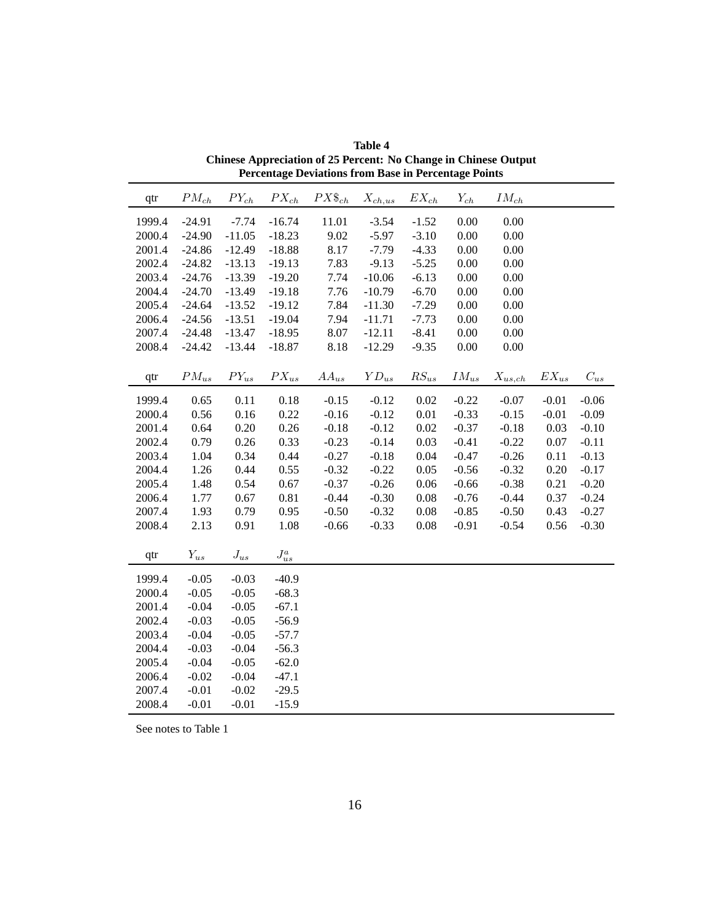| qtr    | $PM_{ch}$ | ${\cal P}Y_{ch}$ | $PX_{ch}$         | $PX\$_{ch}$ | $X_{ch,us}$ | $EX_{\mathit{ch}}$ | $Y_{ch}$  | $IM_{ch}$             |           |                    |
|--------|-----------|------------------|-------------------|-------------|-------------|--------------------|-----------|-----------------------|-----------|--------------------|
| 1999.4 | $-24.91$  | $-7.74$          | $-16.74$          | 11.01       | $-3.54$     | $-1.52$            | 0.00      | 0.00                  |           |                    |
| 2000.4 | $-24.90$  | $-11.05$         | $-18.23$          | 9.02        | $-5.97$     | $-3.10$            | 0.00      | 0.00                  |           |                    |
| 2001.4 | $-24.86$  | $-12.49$         | $-18.88$          | 8.17        | $-7.79$     | $-4.33$            | 0.00      | 0.00                  |           |                    |
| 2002.4 | $-24.82$  | $-13.13$         | $-19.13$          | 7.83        | $-9.13$     | $-5.25$            | 0.00      | 0.00                  |           |                    |
| 2003.4 | $-24.76$  | $-13.39$         | $-19.20$          | 7.74        | $-10.06$    | $-6.13$            | 0.00      | 0.00                  |           |                    |
| 2004.4 | $-24.70$  | $-13.49$         | $-19.18$          | 7.76        | $-10.79$    | $-6.70$            | 0.00      | 0.00                  |           |                    |
| 2005.4 | $-24.64$  | $-13.52$         | $-19.12$          | 7.84        | $-11.30$    | $-7.29$            | 0.00      | 0.00                  |           |                    |
| 2006.4 | $-24.56$  | $-13.51$         | $-19.04$          | 7.94        | $-11.71$    | $-7.73$            | 0.00      | 0.00                  |           |                    |
| 2007.4 | $-24.48$  | $-13.47$         | $-18.95$          | 8.07        | $-12.11$    | $-8.41$            | 0.00      | 0.00                  |           |                    |
| 2008.4 | $-24.42$  | $-13.44$         | $-18.87$          | 8.18        | $-12.29$    | $-9.35$            | 0.00      | 0.00                  |           |                    |
|        |           |                  |                   |             |             |                    |           |                       |           |                    |
| qtr    | $PM_{us}$ | $PY_{us}$        | $PX_{us}$         | $AA_{us}$   | $YD_{us}$   | $RS_{us}$          | $IM_{us}$ | $\mathcal{X}_{us,ch}$ | $EX_{us}$ | $\mathcal{C}_{us}$ |
| 1999.4 | 0.65      | 0.11             | $0.18\,$          | $-0.15$     | $-0.12$     | 0.02               | $-0.22$   | $-0.07$               | $-0.01$   | $-0.06$            |
| 2000.4 | 0.56      | 0.16             | 0.22              | $-0.16$     | $-0.12$     | 0.01               | $-0.33$   | $-0.15$               | $-0.01$   | $-0.09$            |
| 2001.4 | 0.64      | 0.20             | 0.26              | $-0.18$     | $-0.12$     | 0.02               | $-0.37$   | $-0.18$               | 0.03      | $-0.10$            |
| 2002.4 | 0.79      | 0.26             | 0.33              | $-0.23$     | $-0.14$     | 0.03               | $-0.41$   | $-0.22$               | 0.07      | $-0.11$            |
| 2003.4 | 1.04      | 0.34             | 0.44              | $-0.27$     | $-0.18$     | 0.04               | $-0.47$   | $-0.26$               | 0.11      | $-0.13$            |
| 2004.4 | 1.26      | 0.44             | 0.55              | $-0.32$     | $-0.22$     | 0.05               | $-0.56$   | $-0.32$               | 0.20      | $-0.17$            |
| 2005.4 | 1.48      | 0.54             | 0.67              | $-0.37$     | $-0.26$     | 0.06               | $-0.66$   | $-0.38$               | 0.21      | $-0.20$            |
| 2006.4 | 1.77      | 0.67             | 0.81              | $-0.44$     | $-0.30$     | 0.08               | $-0.76$   | $-0.44$               | 0.37      | $-0.24$            |
| 2007.4 | 1.93      | 0.79             | 0.95              | $-0.50$     | $-0.32$     | 0.08               | $-0.85$   | $-0.50$               | 0.43      | $-0.27$            |
| 2008.4 | 2.13      | 0.91             | 1.08              | $-0.66$     | $-0.33$     | 0.08               | $-0.91$   | $-0.54$               | 0.56      | $-0.30$            |
|        |           |                  |                   |             |             |                    |           |                       |           |                    |
| qtr    | $Y_{us}$  | ${\cal J}_{us}$  | ${\cal J}^a_{us}$ |             |             |                    |           |                       |           |                    |
| 1999.4 | $-0.05$   | $-0.03$          | $-40.9$           |             |             |                    |           |                       |           |                    |
| 2000.4 | $-0.05$   | $-0.05$          | $-68.3$           |             |             |                    |           |                       |           |                    |
| 2001.4 | $-0.04$   | $-0.05$          | $-67.1$           |             |             |                    |           |                       |           |                    |
| 2002.4 | $-0.03$   | $-0.05$          | $-56.9$           |             |             |                    |           |                       |           |                    |
| 2003.4 | $-0.04$   | $-0.05$          | $-57.7$           |             |             |                    |           |                       |           |                    |
| 2004.4 | $-0.03$   | $-0.04$          | $-56.3$           |             |             |                    |           |                       |           |                    |
| 2005.4 | $-0.04$   | $-0.05$          | $-62.0$           |             |             |                    |           |                       |           |                    |
| 2006.4 | $-0.02$   | $-0.04$          | $-47.1$           |             |             |                    |           |                       |           |                    |
| 2007.4 | $-0.01$   | $-0.02$          | $-29.5$           |             |             |                    |           |                       |           |                    |
| 2008.4 | $-0.01$   | $-0.01$          | $-15.9$           |             |             |                    |           |                       |           |                    |

**Table 4 Chinese Appreciation of 25 Percent: No Change in Chinese Output Percentage Deviations from Base in Percentage Points**

See notes to Table 1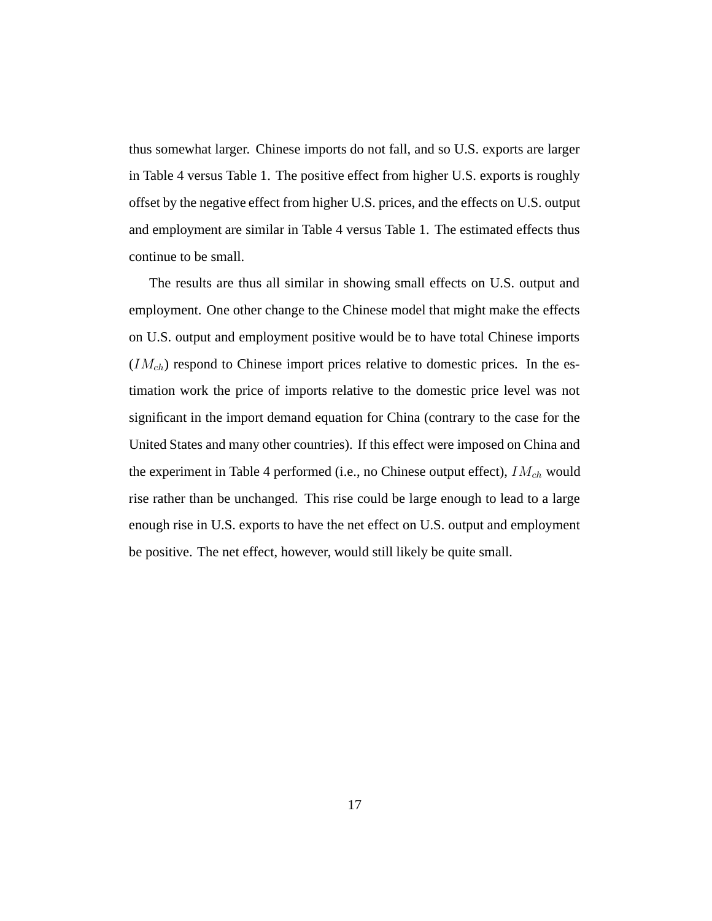thus somewhat larger. Chinese imports do not fall, and so U.S. exports are larger in Table 4 versus Table 1. The positive effect from higher U.S. exports is roughly offset by the negative effect from higher U.S. prices, and the effects on U.S. output and employment are similar in Table 4 versus Table 1. The estimated effects thus continue to be small.

The results are thus all similar in showing small effects on U.S. output and employment. One other change to the Chinese model that might make the effects on U.S. output and employment positive would be to have total Chinese imports  $(IM<sub>ch</sub>)$  respond to Chinese import prices relative to domestic prices. In the estimation work the price of imports relative to the domestic price level was not significant in the import demand equation for China (contrary to the case for the United States and many other countries). If this effect were imposed on China and the experiment in Table 4 performed (i.e., no Chinese output effect), *IMch* would rise rather than be unchanged. This rise could be large enough to lead to a large enough rise in U.S. exports to have the net effect on U.S. output and employment be positive. The net effect, however, would still likely be quite small.